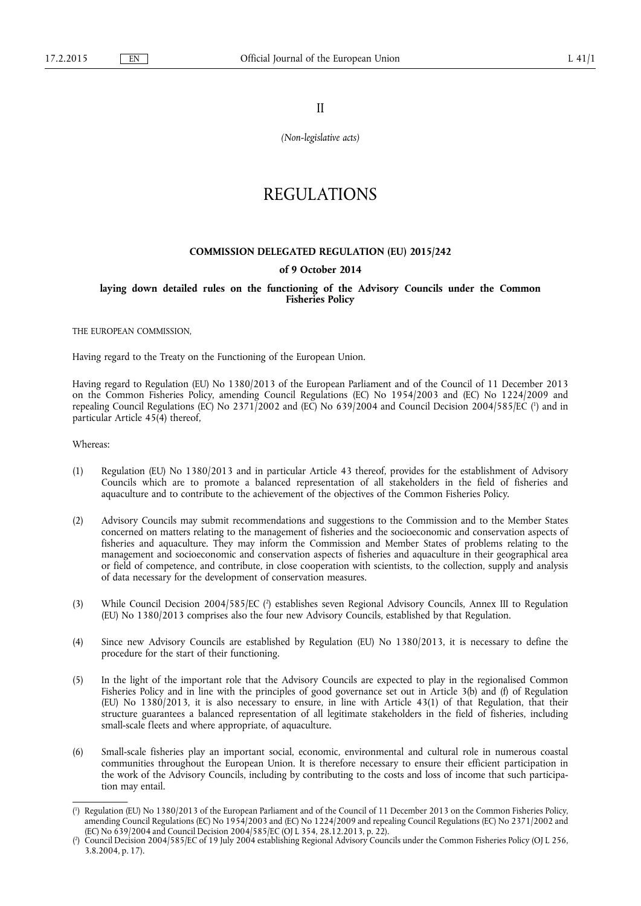II

*(Non-legislative acts)* 

# REGULATIONS

## **COMMISSION DELEGATED REGULATION (EU) 2015/242**

## **of 9 October 2014**

**laying down detailed rules on the functioning of the Advisory Councils under the Common Fisheries Policy** 

THE EUROPEAN COMMISSION,

Having regard to the Treaty on the Functioning of the European Union.

Having regard to Regulation (EU) No 1380/2013 of the European Parliament and of the Council of 11 December 2013 on the Common Fisheries Policy, amending Council Regulations (EC) No 1954/2003 and (EC) No 1224/2009 and repealing Council Regulations (EC) No 2371/2002 and (EC) No 639/2004 and Council Decision 2004/585/EC ( 1 ) and in particular Article 45(4) thereof,

Whereas:

- (1) Regulation (EU) No 1380/2013 and in particular Article 43 thereof, provides for the establishment of Advisory Councils which are to promote a balanced representation of all stakeholders in the field of fisheries and aquaculture and to contribute to the achievement of the objectives of the Common Fisheries Policy.
- (2) Advisory Councils may submit recommendations and suggestions to the Commission and to the Member States concerned on matters relating to the management of fisheries and the socioeconomic and conservation aspects of fisheries and aquaculture. They may inform the Commission and Member States of problems relating to the management and socioeconomic and conservation aspects of fisheries and aquaculture in their geographical area or field of competence, and contribute, in close cooperation with scientists, to the collection, supply and analysis of data necessary for the development of conservation measures.
- (3) While Council Decision 2004/585/EC (<sup>2</sup>) establishes seven Regional Advisory Councils, Annex III to Regulation (EU) No 1380/2013 comprises also the four new Advisory Councils, established by that Regulation.
- (4) Since new Advisory Councils are established by Regulation (EU) No 1380/2013, it is necessary to define the procedure for the start of their functioning.
- (5) In the light of the important role that the Advisory Councils are expected to play in the regionalised Common Fisheries Policy and in line with the principles of good governance set out in Article 3(b) and (f) of Regulation (EU) No 1380/2013, it is also necessary to ensure, in line with Article 43(1) of that Regulation, that their structure guarantees a balanced representation of all legitimate stakeholders in the field of fisheries, including small-scale fleets and where appropriate, of aquaculture.
- (6) Small-scale fisheries play an important social, economic, environmental and cultural role in numerous coastal communities throughout the European Union. It is therefore necessary to ensure their efficient participation in the work of the Advisory Councils, including by contributing to the costs and loss of income that such participation may entail.

<sup>(</sup> 1 ) Regulation (EU) No 1380/2013 of the European Parliament and of the Council of 11 December 2013 on the Common Fisheries Policy, amending Council Regulations (EC) No 1954/2003 and (EC) No 1224/2009 and repealing Council Regulations (EC) No 2371/2002 and (EC) No 639/2004 and Council Decision 2004/585/EC (OJ L 354, 28.12.2013, p. 22).

<sup>(</sup> 2 ) Council Decision 2004/585/EC of 19 July 2004 establishing Regional Advisory Councils under the Common Fisheries Policy (OJ L 256, 3.8.2004, p. 17).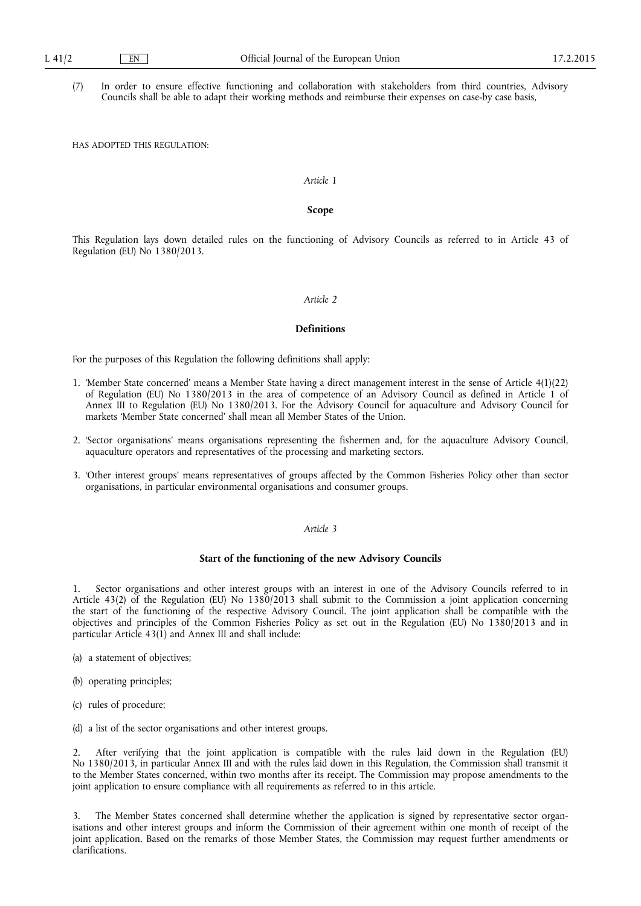(7) In order to ensure effective functioning and collaboration with stakeholders from third countries, Advisory Councils shall be able to adapt their working methods and reimburse their expenses on case-by case basis,

HAS ADOPTED THIS REGULATION:

# *Article 1*

#### **Scope**

This Regulation lays down detailed rules on the functioning of Advisory Councils as referred to in Article 43 of Regulation (EU) No 1380/2013.

## *Article 2*

#### **Definitions**

For the purposes of this Regulation the following definitions shall apply:

- 1. 'Member State concerned' means a Member State having a direct management interest in the sense of Article 4(1)(22) of Regulation (EU) No 1380/2013 in the area of competence of an Advisory Council as defined in Article 1 of Annex III to Regulation (EU) No 1380/2013. For the Advisory Council for aquaculture and Advisory Council for markets 'Member State concerned' shall mean all Member States of the Union.
- 2. 'Sector organisations' means organisations representing the fishermen and, for the aquaculture Advisory Council, aquaculture operators and representatives of the processing and marketing sectors.
- 3. 'Other interest groups' means representatives of groups affected by the Common Fisheries Policy other than sector organisations, in particular environmental organisations and consumer groups.

# *Article 3*

## **Start of the functioning of the new Advisory Councils**

1. Sector organisations and other interest groups with an interest in one of the Advisory Councils referred to in Article 43(2) of the Regulation (EU) No 1380/2013 shall submit to the Commission a joint application concerning the start of the functioning of the respective Advisory Council. The joint application shall be compatible with the objectives and principles of the Common Fisheries Policy as set out in the Regulation (EU) No 1380/2013 and in particular Article  $43(1)$  and Annex III and shall include:

- (a) a statement of objectives;
- (b) operating principles;
- (c) rules of procedure;
- (d) a list of the sector organisations and other interest groups.

2. After verifying that the joint application is compatible with the rules laid down in the Regulation (EU) No 1380/2013, in particular Annex III and with the rules laid down in this Regulation, the Commission shall transmit it to the Member States concerned, within two months after its receipt. The Commission may propose amendments to the joint application to ensure compliance with all requirements as referred to in this article.

3. The Member States concerned shall determine whether the application is signed by representative sector organisations and other interest groups and inform the Commission of their agreement within one month of receipt of the joint application. Based on the remarks of those Member States, the Commission may request further amendments or clarifications.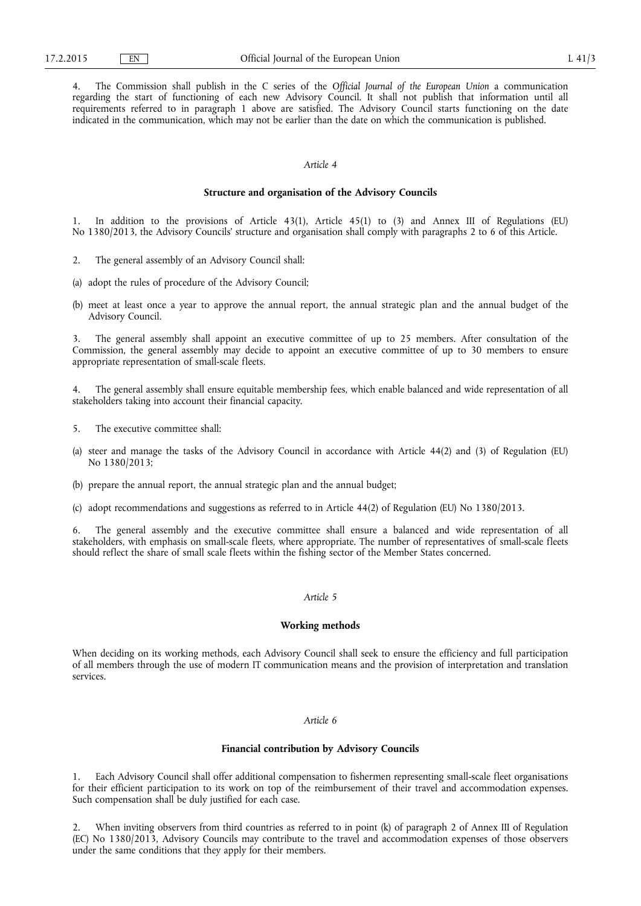4. The Commission shall publish in the C series of the *Official Journal of the European Union* a communication regarding the start of functioning of each new Advisory Council. It shall not publish that information until all requirements referred to in paragraph 1 above are satisfied. The Advisory Council starts functioning on the date indicated in the communication, which may not be earlier than the date on which the communication is published.

#### *Article 4*

#### **Structure and organisation of the Advisory Councils**

1. In addition to the provisions of Article 43(1), Article 45(1) to (3) and Annex III of Regulations (EU) No 1380/2013, the Advisory Councils' structure and organisation shall comply with paragraphs 2 to 6 of this Article.

- 2. The general assembly of an Advisory Council shall:
- (a) adopt the rules of procedure of the Advisory Council;
- (b) meet at least once a year to approve the annual report, the annual strategic plan and the annual budget of the Advisory Council.

The general assembly shall appoint an executive committee of up to 25 members. After consultation of the Commission, the general assembly may decide to appoint an executive committee of up to 30 members to ensure appropriate representation of small-scale fleets.

4. The general assembly shall ensure equitable membership fees, which enable balanced and wide representation of all stakeholders taking into account their financial capacity.

- 5. The executive committee shall:
- (a) steer and manage the tasks of the Advisory Council in accordance with Article 44(2) and (3) of Regulation (EU) No 1380/2013;
- (b) prepare the annual report, the annual strategic plan and the annual budget;
- (c) adopt recommendations and suggestions as referred to in Article 44(2) of Regulation (EU) No 1380/2013.

The general assembly and the executive committee shall ensure a balanced and wide representation of all stakeholders, with emphasis on small-scale fleets, where appropriate. The number of representatives of small-scale fleets should reflect the share of small scale fleets within the fishing sector of the Member States concerned.

## *Article 5*

#### **Working methods**

When deciding on its working methods, each Advisory Council shall seek to ensure the efficiency and full participation of all members through the use of modern IT communication means and the provision of interpretation and translation services.

#### *Article 6*

## **Financial contribution by Advisory Councils**

1. Each Advisory Council shall offer additional compensation to fishermen representing small-scale fleet organisations for their efficient participation to its work on top of the reimbursement of their travel and accommodation expenses. Such compensation shall be duly justified for each case.

2. When inviting observers from third countries as referred to in point (k) of paragraph 2 of Annex III of Regulation (EC) No 1380/2013, Advisory Councils may contribute to the travel and accommodation expenses of those observers under the same conditions that they apply for their members.